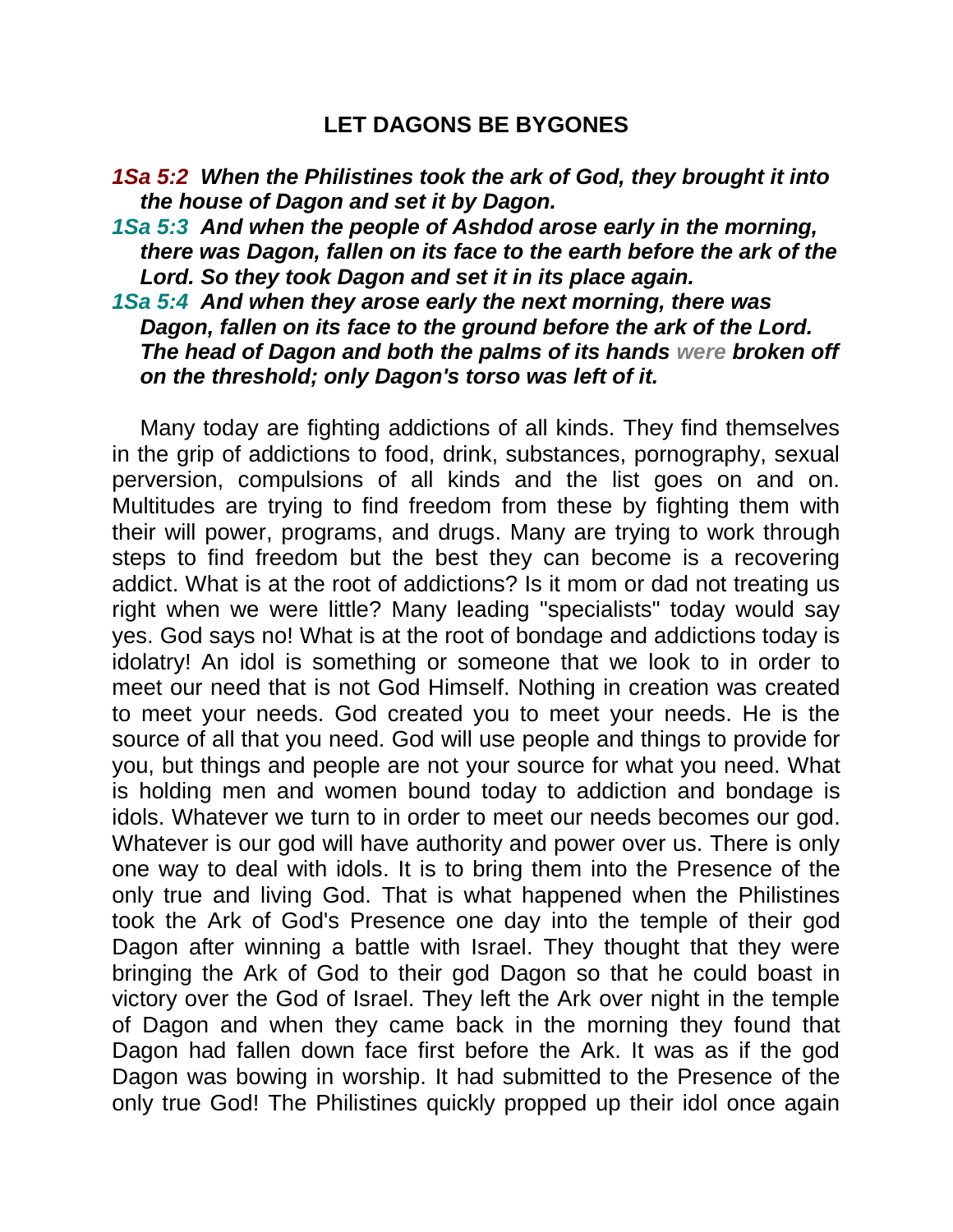## **LET DAGONS BE BYGONES**

- *1Sa 5:2 When the Philistines took the ark of God, they brought it into the house of Dagon and set it by Dagon.*
- *1Sa 5:3 And when the people of Ashdod arose early in the morning, there was Dagon, fallen on its face to the earth before the ark of the Lord. So they took Dagon and set it in its place again.*
- *1Sa 5:4 And when they arose early the next morning, there was Dagon, fallen on its face to the ground before the ark of the Lord. The head of Dagon and both the palms of its hands were broken off on the threshold; only Dagon's torso was left of it.*

Many today are fighting addictions of all kinds. They find themselves in the grip of addictions to food, drink, substances, pornography, sexual perversion, compulsions of all kinds and the list goes on and on. Multitudes are trying to find freedom from these by fighting them with their will power, programs, and drugs. Many are trying to work through steps to find freedom but the best they can become is a recovering addict. What is at the root of addictions? Is it mom or dad not treating us right when we were little? Many leading "specialists" today would say yes. God says no! What is at the root of bondage and addictions today is idolatry! An idol is something or someone that we look to in order to meet our need that is not God Himself. Nothing in creation was created to meet your needs. God created you to meet your needs. He is the source of all that you need. God will use people and things to provide for you, but things and people are not your source for what you need. What is holding men and women bound today to addiction and bondage is idols. Whatever we turn to in order to meet our needs becomes our god. Whatever is our god will have authority and power over us. There is only one way to deal with idols. It is to bring them into the Presence of the only true and living God. That is what happened when the Philistines took the Ark of God's Presence one day into the temple of their god Dagon after winning a battle with Israel. They thought that they were bringing the Ark of God to their god Dagon so that he could boast in victory over the God of Israel. They left the Ark over night in the temple of Dagon and when they came back in the morning they found that Dagon had fallen down face first before the Ark. It was as if the god Dagon was bowing in worship. It had submitted to the Presence of the only true God! The Philistines quickly propped up their idol once again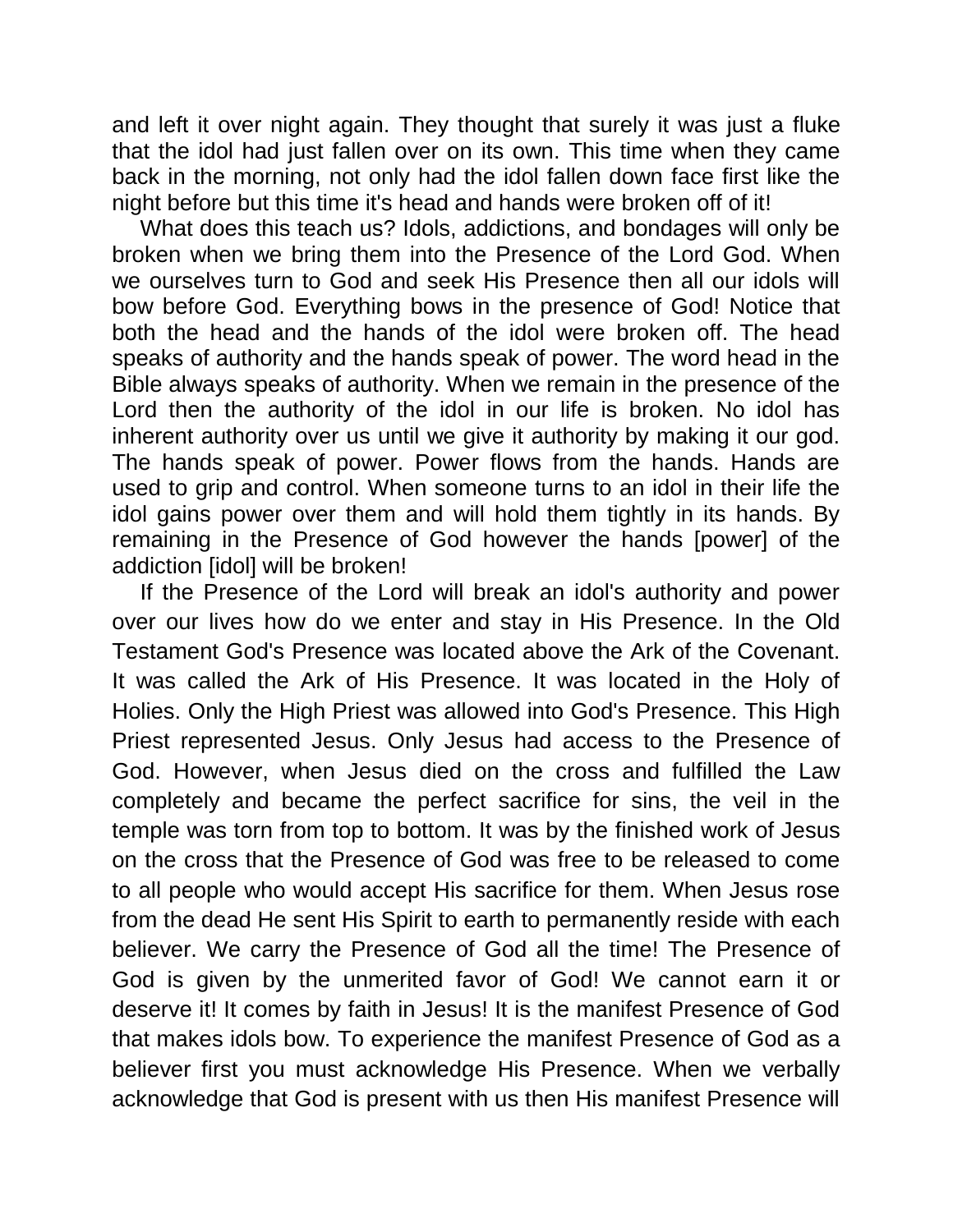and left it over night again. They thought that surely it was just a fluke that the idol had just fallen over on its own. This time when they came back in the morning, not only had the idol fallen down face first like the night before but this time it's head and hands were broken off of it!

What does this teach us? Idols, addictions, and bondages will only be broken when we bring them into the Presence of the Lord God. When we ourselves turn to God and seek His Presence then all our idols will bow before God. Everything bows in the presence of God! Notice that both the head and the hands of the idol were broken off. The head speaks of authority and the hands speak of power. The word head in the Bible always speaks of authority. When we remain in the presence of the Lord then the authority of the idol in our life is broken. No idol has inherent authority over us until we give it authority by making it our god. The hands speak of power. Power flows from the hands. Hands are used to grip and control. When someone turns to an idol in their life the idol gains power over them and will hold them tightly in its hands. By remaining in the Presence of God however the hands [power] of the addiction [idol] will be broken!

If the Presence of the Lord will break an idol's authority and power over our lives how do we enter and stay in His Presence. In the Old Testament God's Presence was located above the Ark of the Covenant. It was called the Ark of His Presence. It was located in the Holy of Holies. Only the High Priest was allowed into God's Presence. This High Priest represented Jesus. Only Jesus had access to the Presence of God. However, when Jesus died on the cross and fulfilled the Law completely and became the perfect sacrifice for sins, the veil in the temple was torn from top to bottom. It was by the finished work of Jesus on the cross that the Presence of God was free to be released to come to all people who would accept His sacrifice for them. When Jesus rose from the dead He sent His Spirit to earth to permanently reside with each believer. We carry the Presence of God all the time! The Presence of God is given by the unmerited favor of God! We cannot earn it or deserve it! It comes by faith in Jesus! It is the manifest Presence of God that makes idols bow. To experience the manifest Presence of God as a believer first you must acknowledge His Presence. When we verbally acknowledge that God is present with us then His manifest Presence will